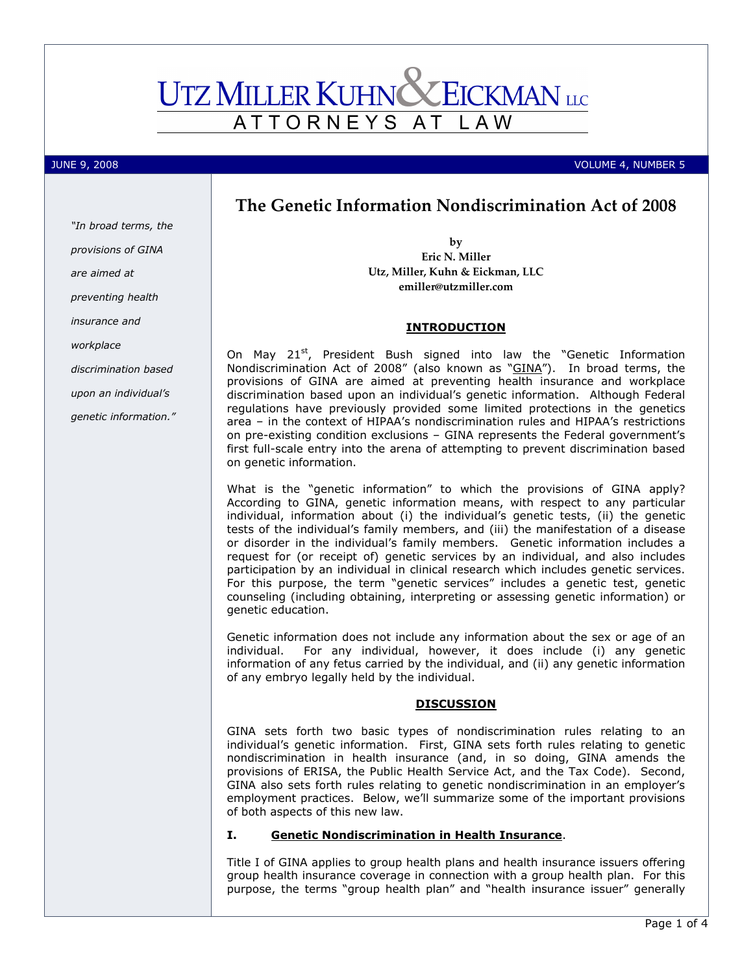# **UTZ MILLER KUHNC EICKMAN** LLC ATTORNEYS AT L A W

"In broad terms, the provisions of GINA

are aimed at

insurance and

workplace

preventing health

discrimination based upon an individual's genetic information."

JUNE 9, 2008 VOLUME 4, NUMBER 5

# The Genetic Information Nondiscrimination Act of 2008

by Eric N. Miller Utz, Miller, Kuhn & Eickman, LLC emiller@utzmiller.com

## INTRODUCTION

On May 21<sup>st</sup>, President Bush signed into law the "Genetic Information Nondiscrimination Act of 2008" (also known as "GINA"). In broad terms, the provisions of GINA are aimed at preventing health insurance and workplace discrimination based upon an individual's genetic information. Although Federal regulations have previously provided some limited protections in the genetics area – in the context of HIPAA's nondiscrimination rules and HIPAA's restrictions on pre-existing condition exclusions – GINA represents the Federal government's first full-scale entry into the arena of attempting to prevent discrimination based on genetic information.

What is the "genetic information" to which the provisions of GINA apply? According to GINA, genetic information means, with respect to any particular individual, information about (i) the individual's genetic tests, (ii) the genetic tests of the individual's family members, and (iii) the manifestation of a disease or disorder in the individual's family members. Genetic information includes a request for (or receipt of) genetic services by an individual, and also includes participation by an individual in clinical research which includes genetic services. For this purpose, the term "genetic services" includes a genetic test, genetic counseling (including obtaining, interpreting or assessing genetic information) or genetic education.

Genetic information does not include any information about the sex or age of an individual. For any individual, however, it does include (i) any genetic information of any fetus carried by the individual, and (ii) any genetic information of any embryo legally held by the individual.

## **DISCUSSION**

GINA sets forth two basic types of nondiscrimination rules relating to an individual's genetic information. First, GINA sets forth rules relating to genetic nondiscrimination in health insurance (and, in so doing, GINA amends the provisions of ERISA, the Public Health Service Act, and the Tax Code). Second, GINA also sets forth rules relating to genetic nondiscrimination in an employer's employment practices. Below, we'll summarize some of the important provisions of both aspects of this new law.

## I. Genetic Nondiscrimination in Health Insurance.

Title I of GINA applies to group health plans and health insurance issuers offering group health insurance coverage in connection with a group health plan. For this purpose, the terms "group health plan" and "health insurance issuer" generally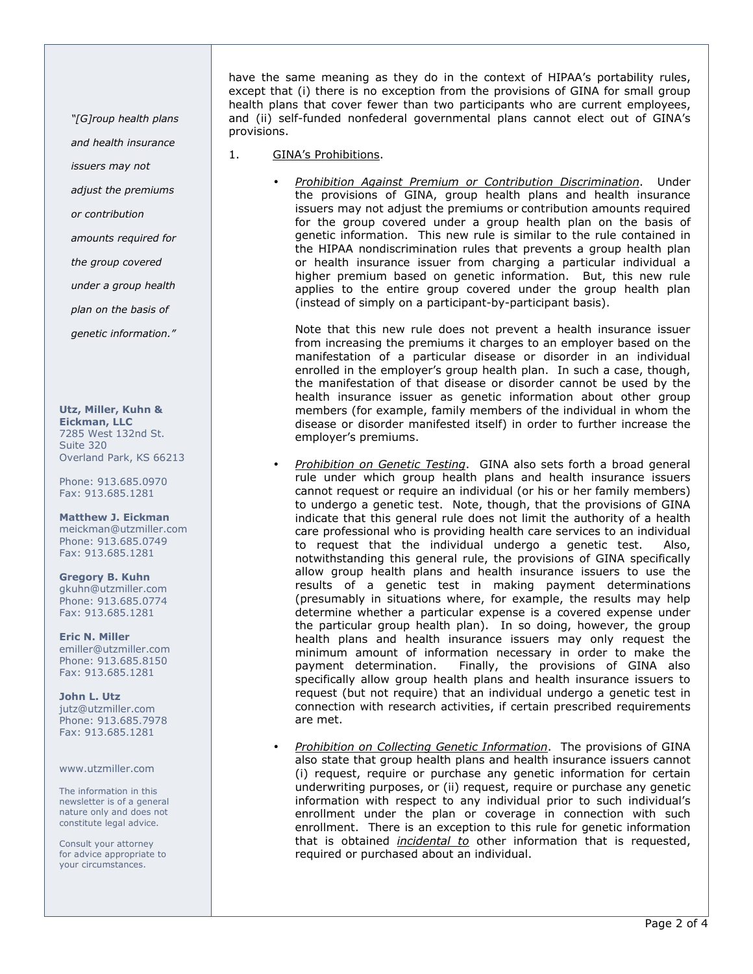"[G]roup health plans

and health insurance

- issuers may not
- adjust the premiums
- or contribution
- amounts required for
- the group covered
- under a group health
- plan on the basis of

genetic information."

#### Utz, Miller, Kuhn &

Eickman, LLC 7285 West 132nd St. Suite 320 Overland Park, KS 66213

Phone: 913.685.0970 Fax: 913.685.1281

### Matthew J. Eickman

meickman@utzmiller.com Phone: 913.685.0749 Fax: 913.685.1281

#### Gregory B. Kuhn gkuhn@utzmiller.com Phone: 913.685.0774 Fax: 913.685.1281

Eric N. Miller emiller@utzmiller.com Phone: 913.685.8150 Fax: 913.685.1281

John L. Utz jutz@utzmiller.com Phone: 913.685.7978 Fax: 913.685.1281

#### www.utzmiller.com

The information in this newsletter is of a general nature only and does not constitute legal advice.

Consult your attorney for advice appropriate to your circumstances.

have the same meaning as they do in the context of HIPAA's portability rules, except that (i) there is no exception from the provisions of GINA for small group health plans that cover fewer than two participants who are current employees, and (ii) self-funded nonfederal governmental plans cannot elect out of GINA's provisions.

- 1. GINA's Prohibitions.
	- Prohibition Against Premium or Contribution Discrimination. Under the provisions of GINA, group health plans and health insurance issuers may not adjust the premiums or contribution amounts required for the group covered under a group health plan on the basis of genetic information. This new rule is similar to the rule contained in the HIPAA nondiscrimination rules that prevents a group health plan or health insurance issuer from charging a particular individual a higher premium based on genetic information. But, this new rule applies to the entire group covered under the group health plan (instead of simply on a participant-by-participant basis).

Note that this new rule does not prevent a health insurance issuer from increasing the premiums it charges to an employer based on the manifestation of a particular disease or disorder in an individual enrolled in the employer's group health plan. In such a case, though, the manifestation of that disease or disorder cannot be used by the health insurance issuer as genetic information about other group members (for example, family members of the individual in whom the disease or disorder manifested itself) in order to further increase the employer's premiums.

- Prohibition on Genetic Testing. GINA also sets forth a broad general rule under which group health plans and health insurance issuers cannot request or require an individual (or his or her family members) to undergo a genetic test. Note, though, that the provisions of GINA indicate that this general rule does not limit the authority of a health care professional who is providing health care services to an individual to request that the individual undergo a genetic test. Also, notwithstanding this general rule, the provisions of GINA specifically allow group health plans and health insurance issuers to use the results of a genetic test in making payment determinations (presumably in situations where, for example, the results may help determine whether a particular expense is a covered expense under the particular group health plan). In so doing, however, the group health plans and health insurance issuers may only request the minimum amount of information necessary in order to make the payment determination. Finally, the provisions of GINA also specifically allow group health plans and health insurance issuers to request (but not require) that an individual undergo a genetic test in connection with research activities, if certain prescribed requirements are met.
- Prohibition on Collecting Genetic Information. The provisions of GINA also state that group health plans and health insurance issuers cannot (i) request, require or purchase any genetic information for certain underwriting purposes, or (ii) request, require or purchase any genetic information with respect to any individual prior to such individual's enrollment under the plan or coverage in connection with such enrollment. There is an exception to this rule for genetic information that is obtained incidental to other information that is requested, required or purchased about an individual.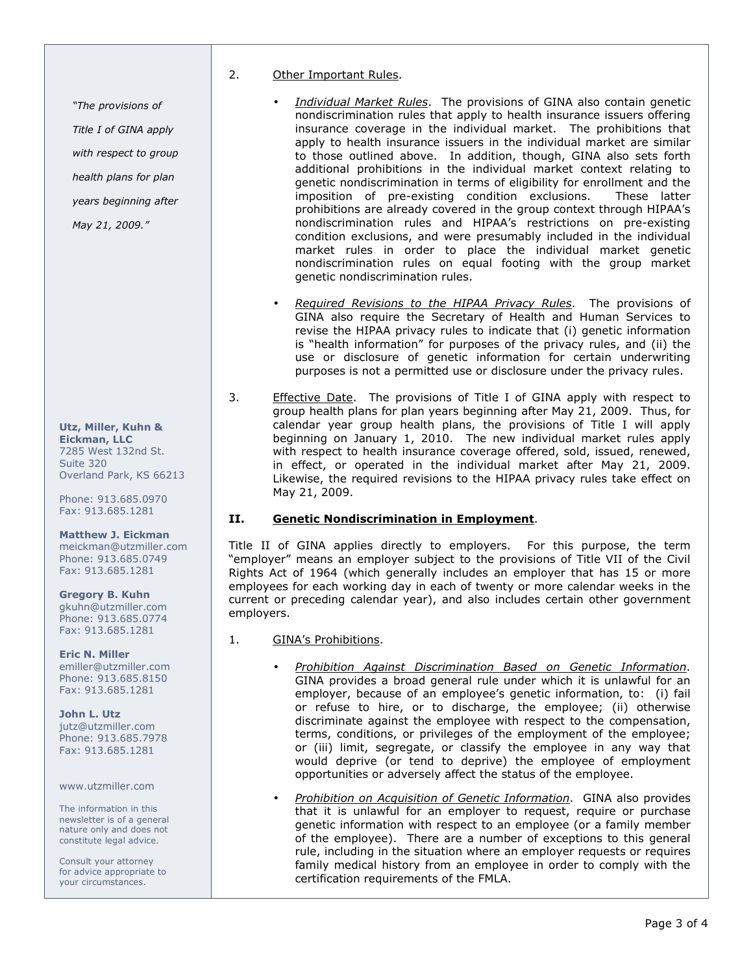2. Other Important Rules.

- Individual Market Rules. The provisions of GINA also contain genetic nondiscrimination rules that apply to health insurance issuers offering insurance coverage in the individual market. The prohibitions that apply to health insurance issuers in the individual market are similar to those outlined above. In addition, though, GINA also sets forth additional prohibitions in the individual market context relating to genetic nondiscrimination in terms of eligibility for enrollment and the imposition of pre-existing condition exclusions. These latter prohibitions are already covered in the group context through HIPAA's nondiscrimination rules and HIPAA's restrictions on pre-existing condition exclusions, and were presumably included in the individual market rules in order to place the individual market genetic nondiscrimination rules on equal footing with the group market genetic nondiscrimination rules.
- Required Revisions to the HIPAA Privacy Rules. The provisions of GINA also require the Secretary of Health and Human Services to revise the HIPAA privacy rules to indicate that (i) genetic information is "health information" for purposes of the privacy rules, and (ii) the use or disclosure of genetic information for certain underwriting purposes is not a permitted use or disclosure under the privacy rules.
- 3. Effective Date. The provisions of Title I of GINA apply with respect to group health plans for plan years beginning after May 21, 2009. Thus, for calendar year group health plans, the provisions of Title I will apply beginning on January 1, 2010. The new individual market rules apply with respect to health insurance coverage offered, sold, issued, renewed, in effect, or operated in the individual market after May 21, 2009. Likewise, the required revisions to the HIPAA privacy rules take effect on May 21, 2009.

## II. Genetic Nondiscrimination in Employment.

Title II of GINA applies directly to employers. For this purpose, the term "employer" means an employer subject to the provisions of Title VII of the Civil Rights Act of 1964 (which generally includes an employer that has 15 or more employees for each working day in each of twenty or more calendar weeks in the current or preceding calendar year), and also includes certain other government employers.

## 1. GINA's Prohibitions.

- Prohibition Against Discrimination Based on Genetic Information. GINA provides a broad general rule under which it is unlawful for an employer, because of an employee's genetic information, to: (i) fail or refuse to hire, or to discharge, the employee; (ii) otherwise discriminate against the employee with respect to the compensation, terms, conditions, or privileges of the employment of the employee; or (iii) limit, segregate, or classify the employee in any way that would deprive (or tend to deprive) the employee of employment opportunities or adversely affect the status of the employee.
- Prohibition on Acquisition of Genetic Information. GINA also provides that it is unlawful for an employer to request, require or purchase genetic information with respect to an employee (or a family member of the employee). There are a number of exceptions to this general rule, including in the situation where an employer requests or requires family medical history from an employee in order to comply with the certification requirements of the FMLA.

#### Utz, Miller, Kuhn & Eickman, LLC 7285 West 132nd St. Suite 320 Overland Park, KS 66213

"The provisions of

May 21, 2009."

Title I of GINA apply with respect to group health plans for plan years beginning after

Phone: 913.685.0970 Fax: 913.685.1281

## Matthew J. Eickman

meickman@utzmiller.com Phone: 913.685.0749 Fax: 913.685.1281

#### Gregory B. Kuhn gkuhn@utzmiller.com Phone: 913.685.0774 Fax: 913.685.1281

Eric N. Miller emiller@utzmiller.com Phone: 913.685.8150 Fax: 913.685.1281

## John L. Utz

jutz@utzmiller.com Phone: 913.685.7978 Fax: 913.685.1281

www.utzmiller.com

The information in this newsletter is of a general nature only and does not constitute legal advice.

Consult your attorney for advice appropriate to your circumstances.